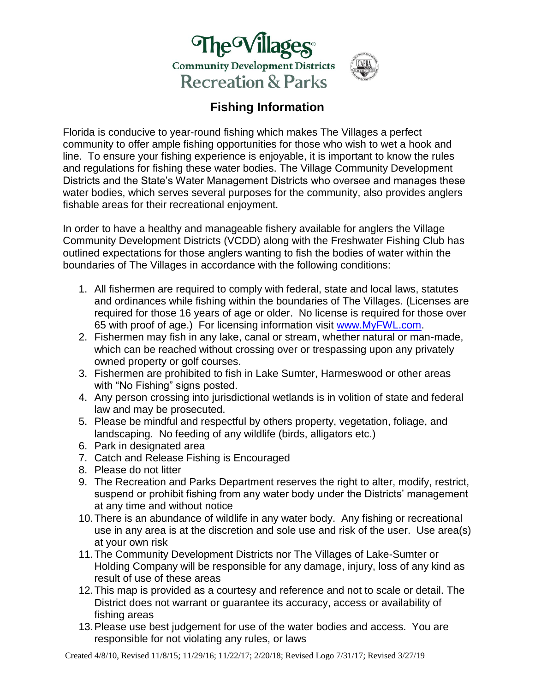



## **Fishing Information**

Florida is conducive to year-round fishing which makes The Villages a perfect community to offer ample fishing opportunities for those who wish to wet a hook and line. To ensure your fishing experience is enjoyable, it is important to know the rules and regulations for fishing these water bodies. The Village Community Development Districts and the State's Water Management Districts who oversee and manages these water bodies, which serves several purposes for the community, also provides anglers fishable areas for their recreational enjoyment.

In order to have a healthy and manageable fishery available for anglers the Village Community Development Districts (VCDD) along with the Freshwater Fishing Club has outlined expectations for those anglers wanting to fish the bodies of water within the boundaries of The Villages in accordance with the following conditions:

- 1. All fishermen are required to comply with federal, state and local laws, statutes and ordinances while fishing within the boundaries of The Villages. (Licenses are required for those 16 years of age or older. No license is required for those over 65 with proof of age.) For licensing information visit [www.MyFWL.com.](http://www.myfwl.com/)
- 2. Fishermen may fish in any lake, canal or stream, whether natural or man-made, which can be reached without crossing over or trespassing upon any privately owned property or golf courses.
- 3. Fishermen are prohibited to fish in Lake Sumter, Harmeswood or other areas with "No Fishing" signs posted.
- 4. Any person crossing into jurisdictional wetlands is in volition of state and federal law and may be prosecuted.
- 5. Please be mindful and respectful by others property, vegetation, foliage, and landscaping. No feeding of any wildlife (birds, alligators etc.)
- 6. Park in designated area
- 7. Catch and Release Fishing is Encouraged
- 8. Please do not litter
- 9. The Recreation and Parks Department reserves the right to alter, modify, restrict, suspend or prohibit fishing from any water body under the Districts' management at any time and without notice
- 10.There is an abundance of wildlife in any water body. Any fishing or recreational use in any area is at the discretion and sole use and risk of the user. Use area(s) at your own risk
- 11.The Community Development Districts nor The Villages of Lake-Sumter or Holding Company will be responsible for any damage, injury, loss of any kind as result of use of these areas
- 12.This map is provided as a courtesy and reference and not to scale or detail. The District does not warrant or guarantee its accuracy, access or availability of fishing areas
- 13.Please use best judgement for use of the water bodies and access. You are responsible for not violating any rules, or laws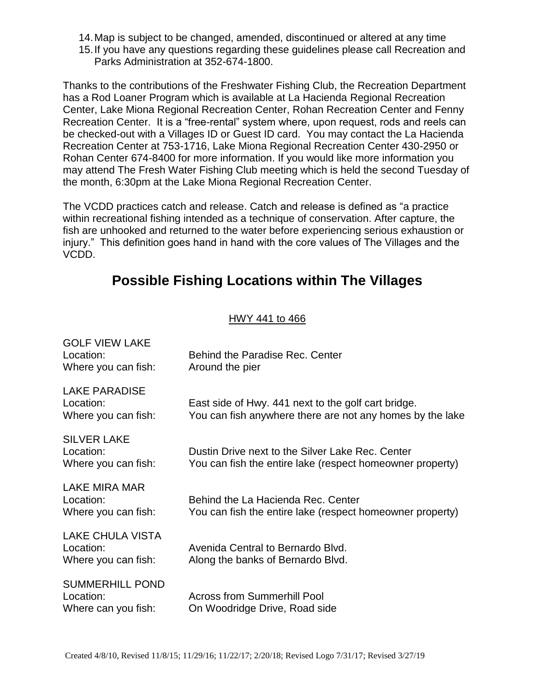14.Map is subject to be changed, amended, discontinued or altered at any time 15.If you have any questions regarding these guidelines please call Recreation and Parks Administration at 352-674-1800.

Thanks to the contributions of the Freshwater Fishing Club, the Recreation Department has a Rod Loaner Program which is available at La Hacienda Regional Recreation Center, Lake Miona Regional Recreation Center, Rohan Recreation Center and Fenny Recreation Center. It is a "free-rental" system where, upon request, rods and reels can be checked-out with a Villages ID or Guest ID card. You may contact the La Hacienda Recreation Center at 753-1716, Lake Miona Regional Recreation Center 430-2950 or Rohan Center 674-8400 for more information. If you would like more information you may attend The Fresh Water Fishing Club meeting which is held the second Tuesday of the month, 6:30pm at the Lake Miona Regional Recreation Center.

The VCDD practices catch and release. Catch and release is defined as "a practice within recreational fishing intended as a technique of conservation. After capture, the fish are unhooked and returned to the water before experiencing serious exhaustion or injury." This definition goes hand in hand with the core values of The Villages and the VCDD.

# **Possible Fishing Locations within The Villages**

#### HWY 441 to 466

| <b>GOLF VIEW LAKE</b><br>Location:<br>Where you can fish:   | Behind the Paradise Rec. Center<br>Around the pier                                                               |
|-------------------------------------------------------------|------------------------------------------------------------------------------------------------------------------|
| <b>LAKE PARADISE</b><br>Location:<br>Where you can fish:    | East side of Hwy. 441 next to the golf cart bridge.<br>You can fish anywhere there are not any homes by the lake |
| <b>SILVER LAKE</b><br>Location:<br>Where you can fish:      | Dustin Drive next to the Silver Lake Rec. Center<br>You can fish the entire lake (respect homeowner property)    |
| LAKE MIRA MAR<br>Location:<br>Where you can fish:           | Behind the La Hacienda Rec. Center<br>You can fish the entire lake (respect homeowner property)                  |
| <b>LAKE CHULA VISTA</b><br>Location:<br>Where you can fish: | Avenida Central to Bernardo Blvd.<br>Along the banks of Bernardo Blvd.                                           |
| <b>SUMMERHILL POND</b><br>Location:<br>Where can you fish:  | <b>Across from Summerhill Pool</b><br>On Woodridge Drive, Road side                                              |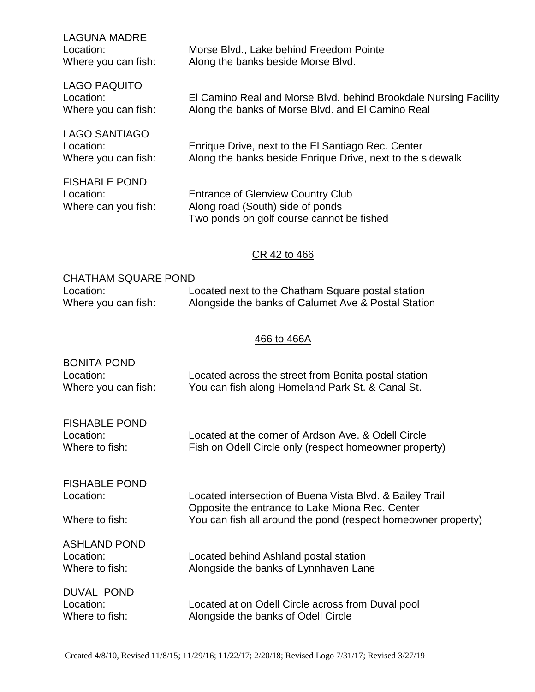| <b>LAGUNA MADRE</b><br>Location:<br>Where you can fish:  | Morse Blvd., Lake behind Freedom Pointe<br>Along the banks beside Morse Blvd.                                             |  |
|----------------------------------------------------------|---------------------------------------------------------------------------------------------------------------------------|--|
| <b>LAGO PAQUITO</b><br>Location:<br>Where you can fish:  | El Camino Real and Morse Blvd. behind Brookdale Nursing Facility<br>Along the banks of Morse Blvd. and El Camino Real     |  |
| <b>LAGO SANTIAGO</b><br>Location:<br>Where you can fish: | Enrique Drive, next to the El Santiago Rec. Center<br>Along the banks beside Enrique Drive, next to the sidewalk          |  |
| <b>FISHABLE POND</b><br>Location:<br>Where can you fish: | <b>Entrance of Glenview Country Club</b><br>Along road (South) side of ponds<br>Two ponds on golf course cannot be fished |  |
| CR 42 to 466                                             |                                                                                                                           |  |

| <b>CHATHAM SQUARE POND</b> |                                                     |  |
|----------------------------|-----------------------------------------------------|--|
| Location:                  | Located next to the Chatham Square postal station   |  |
| Where you can fish:        | Alongside the banks of Calumet Ave & Postal Station |  |

## 466 to 466A

| <b>BONITA POND</b><br>Location:<br>Where you can fish: | Located across the street from Bonita postal station<br>You can fish along Homeland Park St. & Canal St.                                                                     |
|--------------------------------------------------------|------------------------------------------------------------------------------------------------------------------------------------------------------------------------------|
| <b>FISHABLE POND</b><br>Location:<br>Where to fish:    | Located at the corner of Ardson Ave. & Odell Circle<br>Fish on Odell Circle only (respect homeowner property)                                                                |
| <b>FISHABLE POND</b><br>Location:<br>Where to fish:    | Located intersection of Buena Vista Blvd. & Bailey Trail<br>Opposite the entrance to Lake Miona Rec. Center<br>You can fish all around the pond (respect homeowner property) |
| <b>ASHLAND POND</b><br>Location:<br>Where to fish:     | Located behind Ashland postal station<br>Alongside the banks of Lynnhaven Lane                                                                                               |
| <b>DUVAL POND</b><br>Location:<br>Where to fish:       | Located at on Odell Circle across from Duval pool<br>Alongside the banks of Odell Circle                                                                                     |